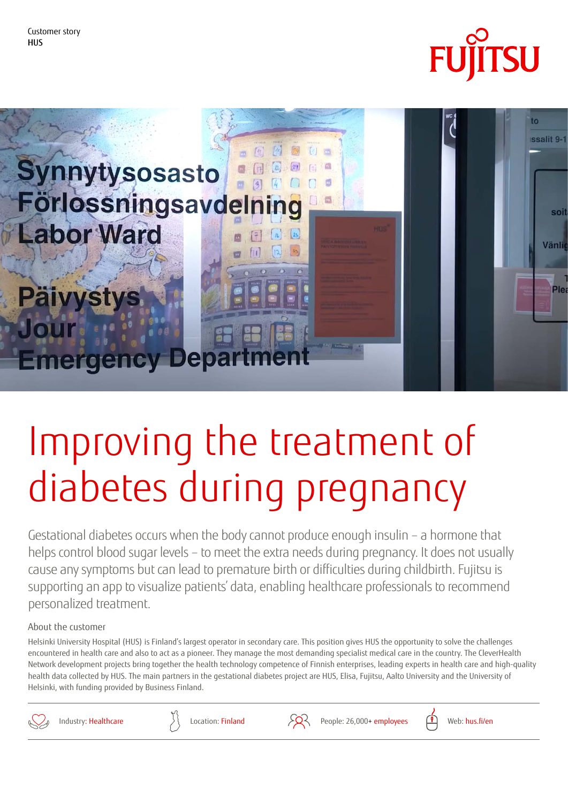



# Improving the treatment of diabetes during pregnancy

Gestational diabetes occurs when the body cannot produce enough insulin – a hormone that helps control blood sugar levels – to meet the extra needs during pregnancy. It does not usually cause any symptoms but can lead to premature birth or difficulties during childbirth. Fujitsu is supporting an app to visualize patients' data, enabling healthcare professionals to recommend personalized treatment.

#### About the customer

Helsinki University Hospital (HUS) is Finland's largest operator in secondary care. This position gives HUS the opportunity to solve the challenges . encountered in health care and also to act as a pioneer. They manage the most demanding specialist medical care in the country. The CleverHealth Network development projects bring together the health technology competence of Finnish enterprises, leading experts in health care and high-quality health data collected by HUS. The main partners in the gestational diabetes project are HUS, Elisa, Fujitsu, Aalto University and the University of Helsinki, with funding provided by Business Finland.





Industry: Healthcare  $\overbrace{\phantom{a}}$  Location: Finland  $\overbrace{\phantom{a}}$  People: 26,000+ employees  $\overbrace{a}$  web: hus.fi/en